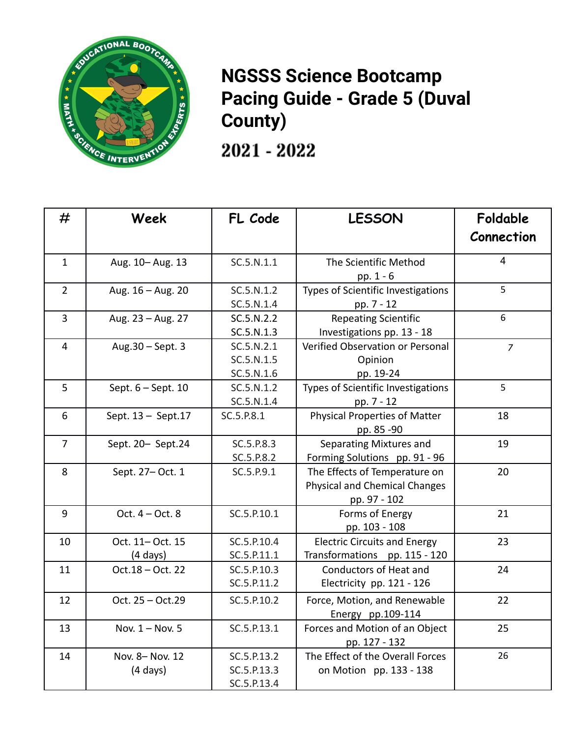

## **NGSSS Science Bootcamp Pacing Guide - Grade 5 (Duval County)**

 $2021 - 2022$ 

| #              | Week                                   | FL Code                                   | <b>LESSON</b>                                                                         | Foldable<br>Connection |
|----------------|----------------------------------------|-------------------------------------------|---------------------------------------------------------------------------------------|------------------------|
| $\mathbf{1}$   | Aug. 10-Aug. 13                        | SC.5.N.1.1                                | The Scientific Method<br>pp. 1 - 6                                                    | $\overline{4}$         |
| $\overline{2}$ | Aug. 16 - Aug. 20                      | SC.5.N.1.2<br>SC.5.N.1.4                  | Types of Scientific Investigations<br>pp. 7 - 12                                      | $\overline{5}$         |
| 3              | Aug. 23 - Aug. 27                      | SC.5.N.2.2<br>SC.5.N.1.3                  | <b>Repeating Scientific</b><br>Investigations pp. 13 - 18                             | 6                      |
| $\overline{4}$ | Aug.30 - Sept. 3                       | SC.5.N.2.1<br>SC.5.N.1.5<br>SC.5.N.1.6    | Verified Observation or Personal<br>Opinion<br>pp. 19-24                              | $\overline{z}$         |
| 5              | Sept. 6 - Sept. 10                     | SC.5.N.1.2<br>SC.5.N.1.4                  | Types of Scientific Investigations<br>pp. 7 - 12                                      | 5                      |
| 6              | Sept. 13 - Sept. 17                    | SC.5.P.8.1                                | <b>Physical Properties of Matter</b><br>pp. 85 - 90                                   | 18                     |
| $\overline{7}$ | Sept. 20- Sept.24                      | SC.5.P.8.3<br>SC.5.P.8.2                  | Separating Mixtures and<br>Forming Solutions pp. 91 - 96                              | 19                     |
| 8              | Sept. 27-Oct. 1                        | SC.5.P.9.1                                | The Effects of Temperature on<br><b>Physical and Chemical Changes</b><br>pp. 97 - 102 | 20                     |
| 9              | Oct. $4 - Oct. 8$                      | SC.5.P.10.1                               | Forms of Energy<br>pp. 103 - 108                                                      | 21                     |
| 10             | Oct. 11- Oct. 15<br>$(4 \text{ days})$ | SC.5.P.10.4<br>SC.5.P.11.1                | <b>Electric Circuits and Energy</b><br>Transformations pp. 115 - 120                  | 23                     |
| 11             | Oct.18 - Oct. 22                       | SC.5.P.10.3<br>SC.5.P.11.2                | <b>Conductors of Heat and</b><br>Electricity pp. 121 - 126                            | 24                     |
| 12             | Oct. 25 - Oct.29                       | SC.5.P.10.2                               | Force, Motion, and Renewable<br>Energy pp.109-114                                     | 22                     |
| 13             | Nov. 1 - Nov. 5                        | SC.5.P.13.1                               | Forces and Motion of an Object<br>pp. 127 - 132                                       | 25                     |
| 14             | Nov. 8- Nov. 12<br>$(4 \text{ days})$  | SC.5.P.13.2<br>SC.5.P.13.3<br>SC.5.P.13.4 | The Effect of the Overall Forces<br>on Motion pp. 133 - 138                           | 26                     |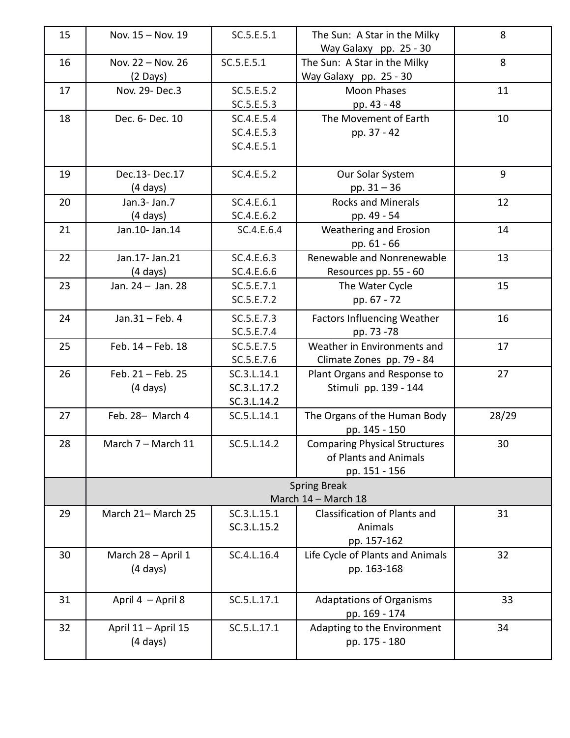| 15 | Nov. 15 - Nov. 19                         | SC.5.E.5.1                                 | The Sun: A Star in the Milky<br>Way Galaxy pp. 25 - 30                         | 8     |  |  |  |
|----|-------------------------------------------|--------------------------------------------|--------------------------------------------------------------------------------|-------|--|--|--|
| 16 | Nov. 22 - Nov. 26<br>(2 Days)             | SC.5.E.5.1                                 | The Sun: A Star in the Milky<br>Way Galaxy pp. 25 - 30                         | 8     |  |  |  |
| 17 | Nov. 29- Dec.3                            | SC.5.E.5.2<br>SC.5.E.5.3                   | <b>Moon Phases</b><br>pp. 43 - 48                                              | 11    |  |  |  |
| 18 | Dec. 6- Dec. 10                           | SC.4.E.5.4<br>SC.4.E.5.3<br>SC.4.E.5.1     | The Movement of Earth<br>pp. 37 - 42                                           | 10    |  |  |  |
| 19 | Dec.13-Dec.17<br>$(4 \text{ days})$       | SC.4.E.5.2                                 | Our Solar System<br>pp. $31 - 36$                                              | 9     |  |  |  |
| 20 | Jan.3- Jan.7<br>$(4 \text{ days})$        | SC.4.E.6.1<br>SC.4.E.6.2                   | <b>Rocks and Minerals</b><br>pp. 49 - 54                                       | 12    |  |  |  |
| 21 | Jan.10- Jan.14                            | SC.4.E.6.4                                 | <b>Weathering and Erosion</b><br>pp. 61 - 66                                   | 14    |  |  |  |
| 22 | Jan.17- Jan.21<br>$(4 \text{ days})$      | SC.4.E.6.3<br>SC.4.E.6.6                   | Renewable and Nonrenewable<br>Resources pp. 55 - 60                            | 13    |  |  |  |
| 23 | Jan. 24 - Jan. 28                         | SC.5.E.7.1<br>SC.5.E.7.2                   | The Water Cycle<br>pp. 67 - 72                                                 | 15    |  |  |  |
| 24 | Jan.31 - Feb. 4                           | SC.5.E.7.3<br>SC.5.E.7.4                   | <b>Factors Influencing Weather</b><br>pp. 73 -78                               | 16    |  |  |  |
| 25 | Feb. 14 - Feb. 18                         | SC.5.E.7.5<br>SC.5.E.7.6                   | Weather in Environments and<br>Climate Zones pp. 79 - 84                       | 17    |  |  |  |
| 26 | Feb. 21 - Feb. 25<br>$(4 \text{ days})$   | SC.3.L.14.1<br>SC.3.L.17.2<br>SC.3.L.14.2  | Plant Organs and Response to<br>Stimuli pp. 139 - 144                          | 27    |  |  |  |
| 27 | Feb. 28- March 4                          | SC.5.L.14.1                                | The Organs of the Human Body<br>pp. 145 - 150                                  | 28/29 |  |  |  |
| 28 | March 7 - March 11                        | SC.5.L.14.2                                | <b>Comparing Physical Structures</b><br>of Plants and Animals<br>pp. 151 - 156 | 30    |  |  |  |
|    |                                           | <b>Spring Break</b><br>March 14 - March 18 |                                                                                |       |  |  |  |
| 29 | March 21- March 25                        | SC.3.L.15.1<br>SC.3.L.15.2                 | <b>Classification of Plants and</b><br>Animals<br>pp. 157-162                  | 31    |  |  |  |
| 30 | March 28 - April 1<br>$(4 \text{ days})$  | SC.4.L.16.4                                | Life Cycle of Plants and Animals<br>pp. 163-168                                | 32    |  |  |  |
| 31 | April 4 - April 8                         | SC.5.L.17.1                                | <b>Adaptations of Organisms</b><br>pp. 169 - 174                               | 33    |  |  |  |
| 32 | April 11 - April 15<br>$(4 \text{ days})$ | SC.5.L.17.1                                | Adapting to the Environment<br>pp. 175 - 180                                   | 34    |  |  |  |